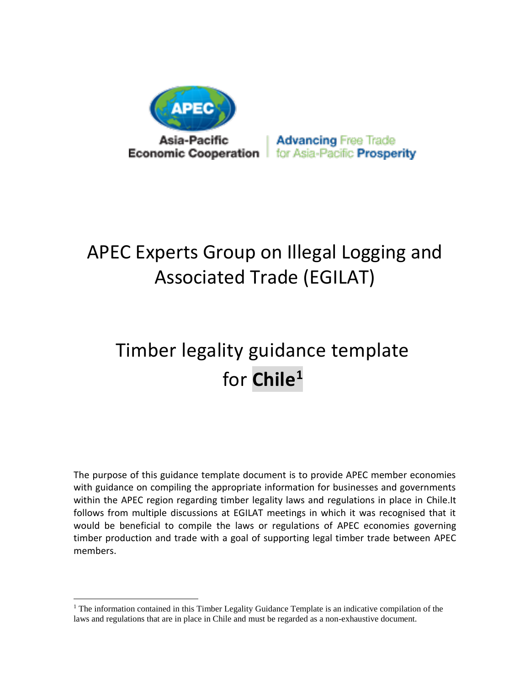

**Advancing Free Trade** for Asia-Pacific **Prosperity** 

# APEC Experts Group on Illegal Logging and Associated Trade (EGILAT)

# Timber legality guidance template for **Chile<sup>1</sup>**

The purpose of this guidance template document is to provide APEC member economies with guidance on compiling the appropriate information for businesses and governments within the APEC region regarding timber legality laws and regulations in place in Chile.It follows from multiple discussions at EGILAT meetings in which it was recognised that it would be beneficial to compile the laws or regulations of APEC economies governing timber production and trade with a goal of supporting legal timber trade between APEC members.

 $\overline{a}$ 

<sup>&</sup>lt;sup>1</sup> The information contained in this Timber Legality Guidance Template is an indicative compilation of the laws and regulations that are in place in Chile and must be regarded as a non-exhaustive document.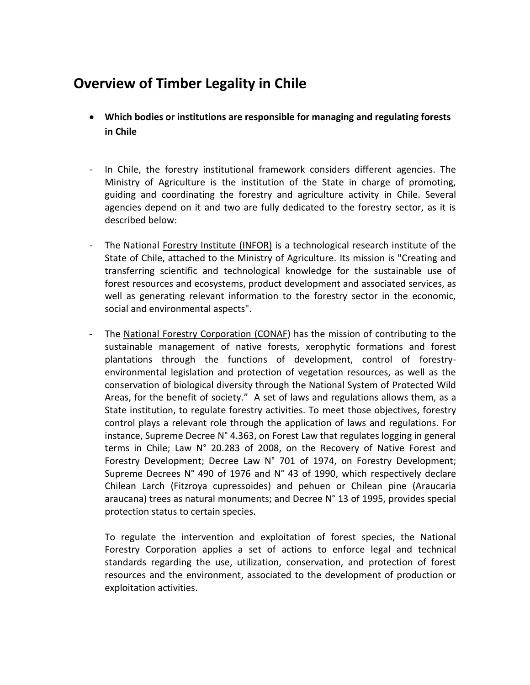# **Overview of Timber Legality in Chile**

- **Which bodies or institutions are responsible for managing and regulating forests in Chile**
- In Chile, the forestry institutional framework considers different agencies. The Ministry of Agriculture is the institution of the State in charge of promoting, guiding and coordinating the forestry and agriculture activity in Chile. Several agencies depend on it and two are fully dedicated to the forestry sector, as it is described below:
- The National Forestry Institute (INFOR) is a technological research institute of the State of Chile, attached to the Ministry of Agriculture. Its mission is "Creating and transferring scientific and technological knowledge for the sustainable use of forest resources and ecosystems, product development and associated services, as well as generating relevant information to the forestry sector in the economic, social and environmental aspects".
- The National Forestry Corporation (CONAF) has the mission of contributing to the sustainable management of native forests, xerophytic formations and forest plantations through the functions of development, control of forestryenvironmental legislation and protection of vegetation resources, as well as the conservation of biological diversity through the National System of Protected Wild Areas, for the benefit of society." A set of laws and regulations allows them, as a State institution, to regulate forestry activities. To meet those objectives, forestry control plays a relevant role through the application of laws and regulations. For instance, Supreme Decree N° 4.363, on Forest Law that regulates logging in general terms in Chile; Law N° 20.283 of 2008, on the Recovery of Native Forest and Forestry Development; Decree Law N° 701 of 1974, on Forestry Development; Supreme Decrees N° 490 of 1976 and N° 43 of 1990, which respectively declare Chilean Larch (Fitzroya cupressoides) and pehuen or Chilean pine (Araucaria araucana) trees as natural monuments; and Decree N° 13 of 1995, provides special protection status to certain species.

To regulate the intervention and exploitation of forest species, the National Forestry Corporation applies a set of actions to enforce legal and technical standards regarding the use, utilization, conservation, and protection of forest resources and the environment, associated to the development of production or exploitation activities.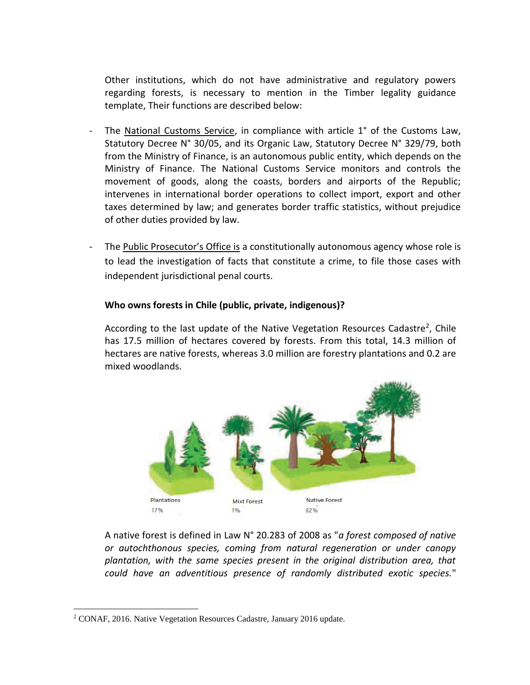Other institutions, which do not have administrative and regulatory powers regarding forests, is necessary to mention in the Timber legality guidance template, Their functions are described below:

- The National Customs Service, in compliance with article 1° of the Customs Law, Statutory Decree N° 30/05, and its Organic Law, Statutory Decree N° 329/79, both from the Ministry of Finance, is an autonomous public entity, which depends on the Ministry of Finance. The National Customs Service monitors and controls the movement of goods, along the coasts, borders and airports of the Republic; intervenes in international border operations to collect import, export and other taxes determined by law; and generates border traffic statistics, without prejudice of other duties provided by law.
- The Public Prosecutor's Office is a constitutionally autonomous agency whose role is to lead the investigation of facts that constitute a crime, to file those cases with independent jurisdictional penal courts.

#### **Who owns forests in Chile (public, private, indigenous)?**

According to the last update of the Native Vegetation Resources Cadastre<sup>2</sup>, Chile has 17.5 million of hectares covered by forests. From this total, 14.3 million of hectares are native forests, whereas 3.0 million are forestry plantations and 0.2 are mixed woodlands.



A native forest is defined in Law N° 20.283 of 2008 as "*a forest composed of native or autochthonous species, coming from natural regeneration or under canopy plantation, with the same species present in the original distribution area, that could have an adventitious presence of randomly distributed exotic species.*"

 $\overline{a}$ 

<sup>2</sup> CONAF, 2016. Native Vegetation Resources Cadastre, January 2016 update.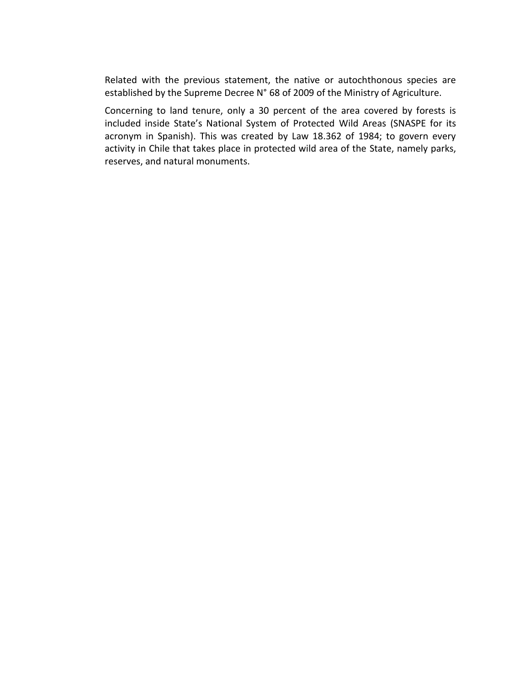Related with the previous statement, the native or autochthonous species are established by the Supreme Decree N° 68 of 2009 of the Ministry of Agriculture.

Concerning to land tenure, only a 30 percent of the area covered by forests is included inside State's National System of Protected Wild Areas (SNASPE for its acronym in Spanish). This was created by Law 18.362 of 1984; to govern every activity in Chile that takes place in protected wild area of the State, namely parks, reserves, and natural monuments.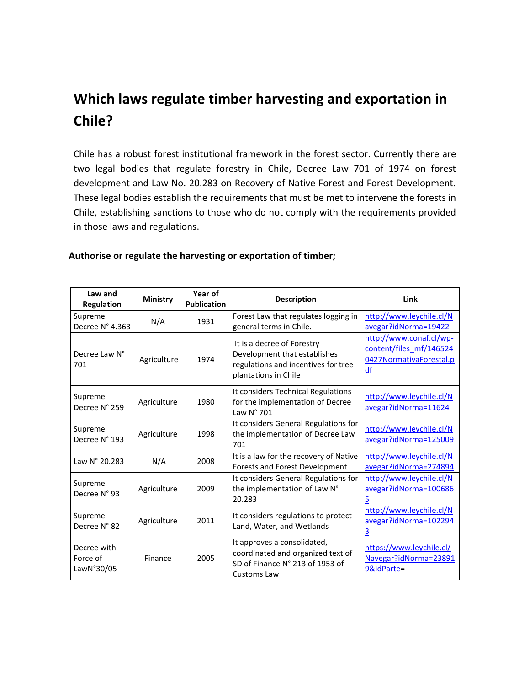# **Which laws regulate timber harvesting and exportation in Chile?**

Chile has a robust forest institutional framework in the forest sector. Currently there are two legal bodies that regulate forestry in Chile, Decree Law 701 of 1974 on forest development and Law No. 20.283 on Recovery of Native Forest and Forest Development. These legal bodies establish the requirements that must be met to intervene the forests in Chile, establishing sanctions to those who do not comply with the requirements provided in those laws and regulations.

| Law and<br><b>Regulation</b>          | <b>Ministry</b> | Year of<br><b>Publication</b> | <b>Description</b>                                                                                                        | Link                                                                                |
|---------------------------------------|-----------------|-------------------------------|---------------------------------------------------------------------------------------------------------------------------|-------------------------------------------------------------------------------------|
| Supreme<br>Decree N° 4.363            | N/A             | 1931                          | Forest Law that regulates logging in<br>general terms in Chile.                                                           | http://www.leychile.cl/N<br>avegar?idNorma=19422                                    |
| Decree Law N°<br>701                  | Agriculture     | 1974                          | It is a decree of Forestry<br>Development that establishes<br>regulations and incentives for tree<br>plantations in Chile | http://www.conaf.cl/wp-<br>content/files mf/146524<br>0427NormativaForestal.p<br>df |
| Supreme<br>Decree N° 259              | Agriculture     | 1980                          | It considers Technical Regulations<br>for the implementation of Decree<br>Law N° 701                                      | http://www.leychile.cl/N<br>avegar?idNorma=11624                                    |
| Supreme<br>Decree N° 193              | Agriculture     | 1998                          | It considers General Regulations for<br>the implementation of Decree Law<br>701                                           | http://www.leychile.cl/N<br>avegar?idNorma=125009                                   |
| Law N° 20.283                         | N/A             | 2008                          | It is a law for the recovery of Native<br>Forests and Forest Development                                                  | http://www.leychile.cl/N<br>avegar?idNorma=274894                                   |
| Supreme<br>Decree N° 93               | Agriculture     | 2009                          | It considers General Regulations for<br>the implementation of Law N°<br>20.283                                            | http://www.leychile.cl/N<br>avegar?idNorma=100686<br>5                              |
| Supreme<br>Decree N° 82               | Agriculture     | 2011                          | It considers regulations to protect<br>Land, Water, and Wetlands                                                          | http://www.leychile.cl/N<br>avegar?idNorma=102294<br>3                              |
| Decree with<br>Force of<br>LawN°30/05 | Finance         | 2005                          | It approves a consolidated,<br>coordinated and organized text of<br>SD of Finance N° 213 of 1953 of<br>Customs Law        | https://www.leychile.cl/<br>Navegar?idNorma=23891<br>9&idParte=                     |

#### **Authorise or regulate the harvesting or exportation of timber;**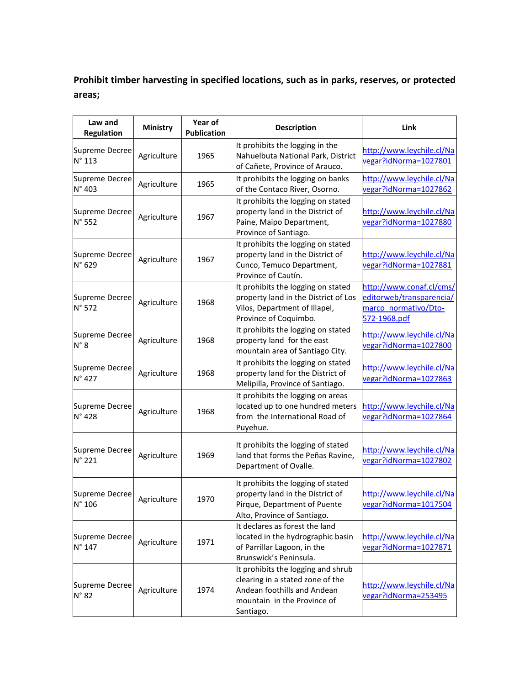# **Prohibit timber harvesting in specified locations, such as in parks, reserves, or protected areas;**

| Law and<br><b>Regulation</b>      | <b>Ministry</b> | Year of<br><b>Publication</b> | <b>Description</b>                                                                                                                                | Link                                                                                         |
|-----------------------------------|-----------------|-------------------------------|---------------------------------------------------------------------------------------------------------------------------------------------------|----------------------------------------------------------------------------------------------|
| Supreme Decree<br>N° 113          | Agriculture     | 1965                          | It prohibits the logging in the<br>Nahuelbuta National Park, District<br>of Cañete, Province of Arauco.                                           | http://www.leychile.cl/Na<br>vegar?idNorma=1027801                                           |
| Supreme Decree<br>N° 403          | Agriculture     | 1965                          | It prohibits the logging on banks<br>of the Contaco River, Osorno.                                                                                | http://www.leychile.cl/Na<br>vegar?idNorma=1027862                                           |
| Supreme Decree<br>N° 552          | Agriculture     | 1967                          | It prohibits the logging on stated<br>property land in the District of<br>Paine, Maipo Department,<br>Province of Santiago.                       | http://www.leychile.cl/Na<br>vegar?idNorma=1027880                                           |
| Supreme Decree<br>N° 629          | Agriculture     | 1967                          | It prohibits the logging on stated<br>property land in the District of<br>Cunco, Temuco Department,<br>Province of Cautín.                        | http://www.leychile.cl/Na<br>vegar?idNorma=1027881                                           |
| Supreme Decree<br>N° 572          | Agriculture     | 1968                          | It prohibits the logging on stated<br>property land in the District of Los<br>Vilos, Department of Illapel,<br>Province of Coquimbo.              | http://www.conaf.cl/cms/<br>editorweb/transparencia/<br>marco normativo/Dto-<br>572-1968.pdf |
| Supreme Decree<br>$N^{\circ}$ 8   | Agriculture     | 1968                          | It prohibits the logging on stated<br>property land for the east<br>mountain area of Santiago City.                                               | http://www.leychile.cl/Na<br>vegar?idNorma=1027800                                           |
| Supreme Decree<br>N° 427          | Agriculture     | 1968                          | It prohibits the logging on stated<br>property land for the District of<br>Melipilla, Province of Santiago.                                       | http://www.leychile.cl/Na<br>vegar?idNorma=1027863                                           |
| Supreme Decree<br>N° 428          | Agriculture     | 1968                          | It prohibits the logging on areas<br>located up to one hundred meters<br>from the International Road of<br>Puyehue.                               | http://www.leychile.cl/Na<br>vegar?idNorma=1027864                                           |
| Supreme Decree<br>N° 221          | Agriculture     | 1969                          | It prohibits the logging of stated<br>land that forms the Peñas Ravine,<br>Department of Ovalle.                                                  | http://www.leychile.cl/Na<br>vegar?idNorma=1027802                                           |
| Supreme Decree<br>$N^{\circ}$ 106 | Agriculture     | 1970                          | It prohibits the logging of stated<br>property land in the District of<br>Pirque, Department of Puente<br>Alto, Province of Santiago.             | http://www.leychile.cl/Na<br>vegar?idNorma=1017504                                           |
| Supreme Decree<br>N° 147          | Agriculture     | 1971                          | It declares as forest the land<br>located in the hydrographic basin<br>of Parrillar Lagoon, in the<br>Brunswick's Peninsula.                      | http://www.leychile.cl/Na<br>vegar?idNorma=1027871                                           |
| Supreme Decree<br>$N^{\circ}$ 82  | Agriculture     | 1974                          | It prohibits the logging and shrub<br>clearing in a stated zone of the<br>Andean foothills and Andean<br>mountain in the Province of<br>Santiago. | http://www.leychile.cl/Na<br>vegar?idNorma=253495                                            |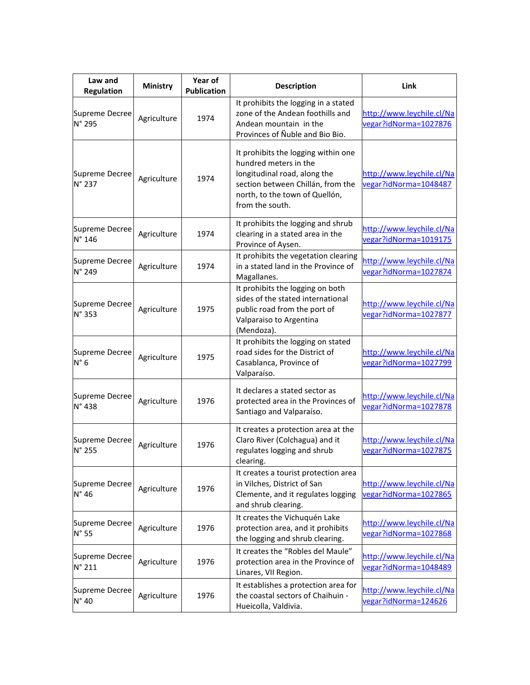| Law and<br><b>Regulation</b>      | <b>Ministry</b> | Year of<br><b>Publication</b> | <b>Description</b>                                                                                                                                                                     | Link                                               |
|-----------------------------------|-----------------|-------------------------------|----------------------------------------------------------------------------------------------------------------------------------------------------------------------------------------|----------------------------------------------------|
| Supreme Decree<br>N° 295          | Agriculture     | 1974                          | It prohibits the logging in a stated<br>zone of the Andean foothills and<br>Andean mountain in the<br>Provinces of Nuble and Bio Bio.                                                  | http://www.leychile.cl/Na<br>vegar?idNorma=1027876 |
| Supreme Decree<br>N° 237          | Agriculture     | 1974                          | It prohibits the logging within one<br>hundred meters in the<br>longitudinal road, along the<br>section between Chillán, from the<br>north, to the town of Quellón,<br>from the south. | http://www.leychile.cl/Na<br>vegar?idNorma=1048487 |
| Supreme Decree<br>N° 146          | Agriculture     | 1974                          | It prohibits the logging and shrub<br>clearing in a stated area in the<br>Province of Aysen.                                                                                           | http://www.leychile.cl/Na<br>vegar?idNorma=1019175 |
| Supreme Decree<br>N° 249          | Agriculture     | 1974                          | It prohibits the vegetation clearing<br>in a stated land in the Province of<br>Magallanes.                                                                                             | http://www.leychile.cl/Na<br>vegar?idNorma=1027874 |
| Supreme Decree<br>N° 353          | Agriculture     | 1975                          | It prohibits the logging on both<br>sides of the stated international<br>public road from the port of<br>Valparaiso to Argentina<br>(Mendoza).                                         | http://www.leychile.cl/Na<br>vegar?idNorma=1027877 |
| Supreme Decree<br>$N^{\circ}$ 6   | Agriculture     | 1975                          | It prohibits the logging on stated<br>road sides for the District of<br>Casablanca, Province of<br>Valparaíso.                                                                         | http://www.leychile.cl/Na<br>vegar?idNorma=1027799 |
| Supreme Decree<br>N° 438          | Agriculture     | 1976                          | It declares a stated sector as<br>protected area in the Provinces of<br>Santiago and Valparaíso.                                                                                       | http://www.leychile.cl/Na<br>vegar?idNorma=1027878 |
| Supreme Decree<br>N° 255          | Agriculture     | 1976                          | It creates a protection area at the<br>Claro River (Colchagua) and it<br>regulates logging and shrub<br>clearing.                                                                      | http://www.leychile.cl/Na<br>vegar?idNorma=1027875 |
| Supreme Decree<br>N° 46           | Agriculture     | 1976                          | It creates a tourist protection area<br>in Vilches, District of San<br>Clemente, and it regulates logging<br>and shrub clearing.                                                       | http://www.leychile.cl/Na<br>vegar?idNorma=1027865 |
| Supreme Decree<br>$N^{\circ}$ 55  | Agriculture     | 1976                          | It creates the Vichuquén Lake<br>protection area, and it prohibits<br>the logging and shrub clearing.                                                                                  | http://www.leychile.cl/Na<br>vegar?idNorma=1027868 |
| Supreme Decree<br>$N^{\circ}$ 211 | Agriculture     | 1976                          | It creates the "Robles del Maule"<br>protection area in the Province of<br>Linares, VII Region.                                                                                        | http://www.leychile.cl/Na<br>vegar?idNorma=1048489 |
| Supreme Decree<br>$N^{\circ}$ 40  | Agriculture     | 1976                          | It establishes a protection area for<br>the coastal sectors of Chaihuin -<br>Hueicolla, Valdivia.                                                                                      | http://www.leychile.cl/Na<br>vegar?idNorma=124626  |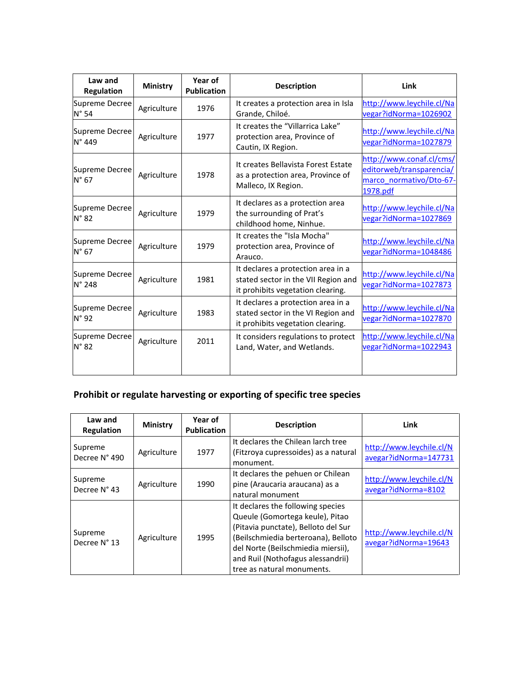| Law and<br><b>Regulation</b>     | <b>Ministry</b> | Year of<br><b>Publication</b> | <b>Description</b>                                                                                             | Link                                                                                        |
|----------------------------------|-----------------|-------------------------------|----------------------------------------------------------------------------------------------------------------|---------------------------------------------------------------------------------------------|
| Supreme Decree<br>$N^{\circ}$ 54 | Agriculture     | 1976                          | It creates a protection area in Isla<br>Grande, Chiloé.                                                        | http://www.leychile.cl/Na<br>vegar?idNorma=1026902                                          |
| Supreme Decree<br>N° 449         | Agriculture     | 1977                          | It creates the "Villarrica Lake"<br>protection area, Province of<br>Cautin, IX Region.                         | http://www.leychile.cl/Na<br>vegar?idNorma=1027879                                          |
| Supreme Decree<br>$N^{\circ}$ 67 | Agriculture     | 1978                          | It creates Bellavista Forest Estate<br>as a protection area, Province of<br>Malleco, IX Region.                | http://www.conaf.cl/cms/<br>editorweb/transparencia/<br>marco normativo/Dto-67-<br>1978.pdf |
| Supreme Decree<br>$N^{\circ}$ 82 | Agriculture     | 1979                          | It declares as a protection area<br>the surrounding of Prat's<br>childhood home, Ninhue.                       | http://www.leychile.cl/Na<br>vegar?idNorma=1027869                                          |
| Supreme Decree<br>$N^{\circ}$ 67 | Agriculture     | 1979                          | It creates the "Isla Mocha"<br>protection area, Province of<br>Arauco.                                         | http://www.leychile.cl/Na<br>vegar?idNorma=1048486                                          |
| Supreme Decree<br>N° 248         | Agriculture     | 1981                          | It declares a protection area in a<br>stated sector in the VII Region and<br>it prohibits vegetation clearing. | http://www.leychile.cl/Na<br>vegar?idNorma=1027873                                          |
| Supreme Decree<br>$N^{\circ}$ 92 | Agriculture     | 1983                          | It declares a protection area in a<br>stated sector in the VI Region and<br>it prohibits vegetation clearing.  | http://www.leychile.cl/Na<br>vegar?idNorma=1027870                                          |
| Supreme Decree<br>$N^{\circ}$ 82 | Agriculture     | 2011                          | It considers regulations to protect<br>Land, Water, and Wetlands.                                              | http://www.leychile.cl/Na<br>vegar?idNorma=1022943                                          |

# **Prohibit or regulate harvesting or exporting of specific tree species**

| Law and<br><b>Regulation</b> | <b>Ministry</b> | Year of<br><b>Publication</b> | <b>Description</b>                                                                                                                                                                                                                                          | Link                                              |
|------------------------------|-----------------|-------------------------------|-------------------------------------------------------------------------------------------------------------------------------------------------------------------------------------------------------------------------------------------------------------|---------------------------------------------------|
| Supreme<br>Decree N° 490     | Agriculture     | 1977                          | It declares the Chilean larch tree<br>(Fitzroya cupressoides) as a natural<br>monument.                                                                                                                                                                     | http://www.leychile.cl/N<br>avegar?idNorma=147731 |
| Supreme<br>Decree N° 43      | Agriculture     | 1990                          | It declares the pehuen or Chilean<br>pine (Araucaria araucana) as a<br>natural monument                                                                                                                                                                     | http://www.leychile.cl/N<br>avegar?idNorma=8102   |
| Supreme<br>Decree N° 13      | Agriculture     | 1995                          | It declares the following species<br>Queule (Gomortega keule), Pitao<br>(Pitavia punctate), Belloto del Sur<br>(Beilschmiedia berteroana), Belloto<br>del Norte (Beilschmiedia miersii),<br>and Ruil (Nothofagus alessandrii)<br>tree as natural monuments. | http://www.leychile.cl/N<br>avegar?idNorma=19643  |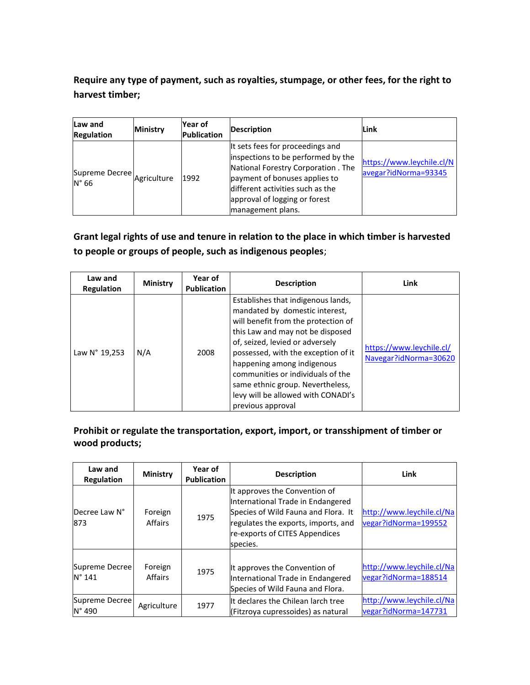## **Require any type of payment, such as royalties, stumpage, or other fees, for the right to harvest timber;**

| Law and<br><b>Regulation</b>                 | <b>Ministry</b> | lYear of<br>Publication | Description                                                                                                                                                                                                                              | Link                                              |
|----------------------------------------------|-----------------|-------------------------|------------------------------------------------------------------------------------------------------------------------------------------------------------------------------------------------------------------------------------------|---------------------------------------------------|
| Supreme Decree Agriculture<br>$N^{\circ}$ 66 |                 | 1992                    | It sets fees for proceedings and<br>inspections to be performed by the<br>National Forestry Corporation . The<br>payment of bonuses applies to<br>different activities such as the<br>approval of logging or forest<br>management plans. | https://www.leychile.cl/N<br>avegar?idNorma=93345 |

## **Grant legal rights of use and tenure in relation to the place in which timber is harvested to people or groups of people, such as indigenous peoples**;

| Law and<br><b>Regulation</b> | <b>Ministry</b> | Year of<br><b>Publication</b> | <b>Description</b>                                                                                                                                                                                                                                                                                                                                                                          | Link                                              |
|------------------------------|-----------------|-------------------------------|---------------------------------------------------------------------------------------------------------------------------------------------------------------------------------------------------------------------------------------------------------------------------------------------------------------------------------------------------------------------------------------------|---------------------------------------------------|
| Law N° 19,253                | N/A             | 2008                          | Establishes that indigenous lands,<br>mandated by domestic interest,<br>will benefit from the protection of<br>this Law and may not be disposed<br>of, seized, levied or adversely<br>possessed, with the exception of it<br>happening among indigenous<br>communities or individuals of the<br>same ethnic group. Nevertheless,<br>levy will be allowed with CONADI's<br>previous approval | https://www.leychile.cl/<br>Navegar?idNorma=30620 |

### **Prohibit or regulate the transportation, export, import, or transshipment of timber or wood products;**

| Law and<br>Regulation             | <b>Ministry</b>    | Year of<br><b>Publication</b> | <b>Description</b>                                                                                                                                                                             | Link                                              |
|-----------------------------------|--------------------|-------------------------------|------------------------------------------------------------------------------------------------------------------------------------------------------------------------------------------------|---------------------------------------------------|
| Decree Law N°<br>873              | Foreign<br>Affairs | 1975                          | It approves the Convention of<br>International Trade in Endangered<br>Species of Wild Fauna and Flora. It<br>regulates the exports, imports, and<br>re-exports of CITES Appendices<br>species. | http://www.leychile.cl/Na<br>vegar?idNorma=199552 |
| Supreme Decree<br>$N^{\circ}$ 141 | Foreign<br>Affairs | 1975                          | It approves the Convention of<br>International Trade in Endangered<br>Species of Wild Fauna and Flora.                                                                                         | http://www.leychile.cl/Na<br>vegar?idNorma=188514 |
| Supreme Decree<br>$N^{\circ}$ 490 | Agriculture        | 1977                          | It declares the Chilean larch tree<br>(Fitzrova cupressoides) as natural                                                                                                                       | http://www.leychile.cl/Na<br>vegar?idNorma=147731 |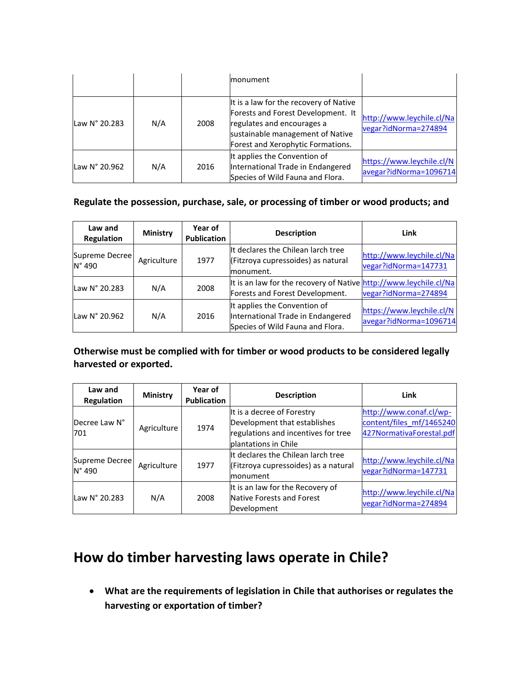|               |     |      | monument                                                                                                                                                                            |                                                     |
|---------------|-----|------|-------------------------------------------------------------------------------------------------------------------------------------------------------------------------------------|-----------------------------------------------------|
| Law N° 20.283 | N/A | 2008 | It is a law for the recovery of Native<br>Forests and Forest Development. It<br>regulates and encourages a<br>sustainable management of Native<br>Forest and Xerophytic Formations. | http://www.leychile.cl/Na<br>vegar?idNorma=274894   |
| Law N° 20.962 | N/A | 2016 | It applies the Convention of<br>International Trade in Endangered<br>Species of Wild Fauna and Flora.                                                                               | https://www.leychile.cl/N<br>avegar?idNorma=1096714 |

### **Regulate the possession, purchase, sale, or processing of timber or wood products; and**

| Law and<br><b>Regulation</b> | <b>Ministry</b> | Year of<br><b>Publication</b> | <b>Description</b>                                                                                    | Link                                                |
|------------------------------|-----------------|-------------------------------|-------------------------------------------------------------------------------------------------------|-----------------------------------------------------|
| Supreme Decree<br>N° 490     | Agriculture     | 1977                          | It declares the Chilean larch tree<br>(Fitzroya cupressoides) as natural<br>monument.                 | http://www.leychile.cl/Na<br>vegar?idNorma=147731   |
| Law N° 20.283                | N/A             | 2008                          | It is an law for the recovery of Native http://www.leychile.cl/Na<br>Forests and Forest Development.  | vegar?idNorma=274894                                |
| Law N° 20.962                | N/A             | 2016                          | It applies the Convention of<br>International Trade in Endangered<br>Species of Wild Fauna and Flora. | https://www.leychile.cl/N<br>avegar?idNorma=1096714 |

#### **Otherwise must be complied with for timber or wood products to be considered legally harvested or exported.**

| Law and<br><b>Regulation</b>      | <b>Ministry</b> | Year of<br><b>Publication</b> | <b>Description</b>                                                                                                        | Link                                                                            |
|-----------------------------------|-----------------|-------------------------------|---------------------------------------------------------------------------------------------------------------------------|---------------------------------------------------------------------------------|
| Decree Law N°<br>701              | Agriculture     | 1974                          | It is a decree of Forestry<br>Development that establishes<br>regulations and incentives for tree<br>plantations in Chile | http://www.conaf.cl/wp-<br>content/files mf/1465240<br>427NormativaForestal.pdf |
| Supreme Decree<br>$N^{\circ}$ 490 | Agriculture     | 1977                          | It declares the Chilean larch tree<br>(Fitzroya cupressoides) as a natural<br><b>Imonument</b>                            | http://www.leychile.cl/Na<br>vegar?idNorma=147731                               |
| Law N° 20.283                     | N/A             | 2008                          | It is an law for the Recovery of<br>Native Forests and Forest<br>Development                                              | http://www.leychile.cl/Na<br>vegar?idNorma=274894                               |

# **How do timber harvesting laws operate in Chile?**

 **What are the requirements of legislation in Chile that authorises or regulates the harvesting or exportation of timber?**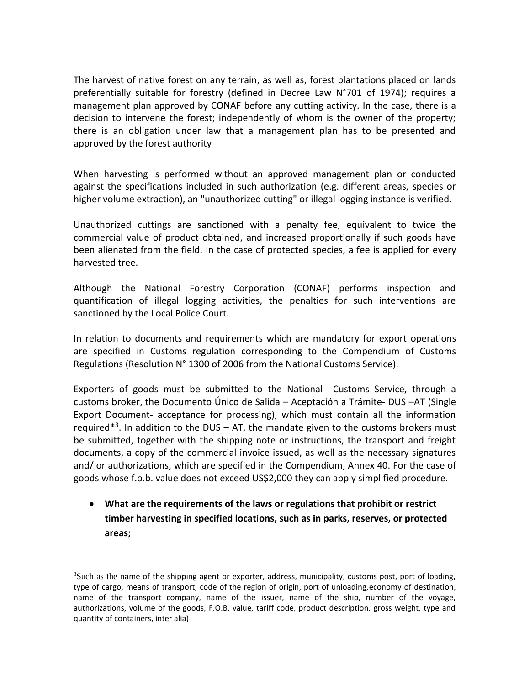The harvest of native forest on any terrain, as well as, forest plantations placed on lands preferentially suitable for forestry (defined in Decree Law N°701 of 1974); requires a management plan approved by CONAF before any cutting activity. In the case, there is a decision to intervene the forest; independently of whom is the owner of the property; there is an obligation under law that a management plan has to be presented and approved by the forest authority

When harvesting is performed without an approved management plan or conducted against the specifications included in such authorization (e.g. different areas, species or higher volume extraction), an "unauthorized cutting" or illegal logging instance is verified.

Unauthorized cuttings are sanctioned with a penalty fee, equivalent to twice the commercial value of product obtained, and increased proportionally if such goods have been alienated from the field. In the case of protected species, a fee is applied for every harvested tree.

Although the National Forestry Corporation (CONAF) performs inspection and quantification of illegal logging activities, the penalties for such interventions are sanctioned by the Local Police Court.

In relation to documents and requirements which are mandatory for export operations are specified in Customs regulation corresponding to the Compendium of Customs Regulations (Resolution N° 1300 of 2006 from the National Customs Service).

Exporters of goods must be submitted to the National Customs Service, through a customs broker, the Documento Único de Salida – Aceptación a Trámite- DUS –AT (Single Export Document- acceptance for processing), which must contain all the information required<sup>\*3</sup>. In addition to the DUS  $-$  AT, the mandate given to the customs brokers must be submitted, together with the shipping note or instructions, the transport and freight documents, a copy of the commercial invoice issued, as well as the necessary signatures and/ or authorizations, which are specified in the Compendium, Annex 40. For the case of goods whose f.o.b. value does not exceed US\$2,000 they can apply simplified procedure.

 **What are the requirements of the laws or regulations that prohibit or restrict timber harvesting in specified locations, such as in parks, reserves, or protected areas;**

 $\overline{a}$ 

 $3$ Such as the name of the shipping agent or exporter, address, municipality, customs post, port of loading, type of cargo, means of transport, code of the region of origin, port of unloading,economy of destination, name of the transport company, name of the issuer, name of the ship, number of the voyage, authorizations, volume of the goods, F.O.B. value, tariff code, product description, gross weight, type and quantity of containers, inter alia)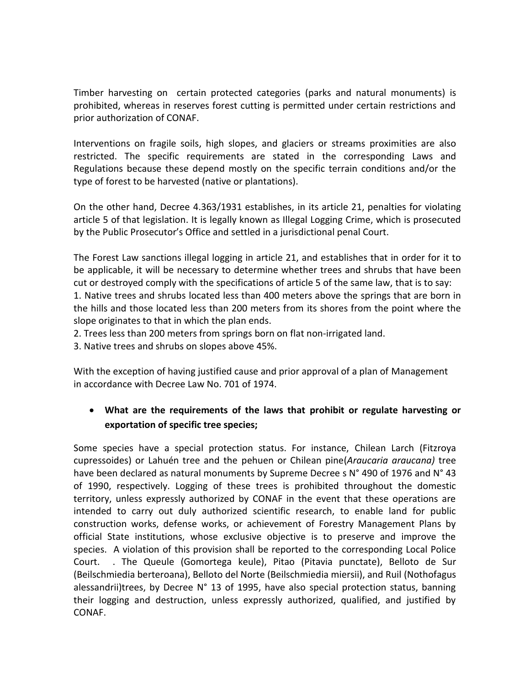Timber harvesting on certain protected categories (parks and natural monuments) is prohibited, whereas in reserves forest cutting is permitted under certain restrictions and prior authorization of CONAF.

Interventions on fragile soils, high slopes, and glaciers or streams proximities are also restricted. The specific requirements are stated in the corresponding Laws and Regulations because these depend mostly on the specific terrain conditions and/or the type of forest to be harvested (native or plantations).

On the other hand, Decree 4.363/1931 establishes, in its article 21, penalties for violating article 5 of that legislation. It is legally known as Illegal Logging Crime, which is prosecuted by the Public Prosecutor's Office and settled in a jurisdictional penal Court.

The Forest Law sanctions illegal logging in article 21, and establishes that in order for it to be applicable, it will be necessary to determine whether trees and shrubs that have been cut or destroyed comply with the specifications of article 5 of the same law, that is to say: 1. Native trees and shrubs located less than 400 meters above the springs that are born in the hills and those located less than 200 meters from its shores from the point where the slope originates to that in which the plan ends.

2. Trees less than 200 meters from springs born on flat non-irrigated land.

3. Native trees and shrubs on slopes above 45%.

With the exception of having justified cause and prior approval of a plan of Management in accordance with Decree Law No. 701 of 1974.

## **What are the requirements of the laws that prohibit or regulate harvesting or exportation of specific tree species;**

Some species have a special protection status. For instance, Chilean Larch (Fitzroya cupressoides) or Lahuén tree and the pehuen or Chilean pine(*Araucaria araucana)* tree have been declared as natural monuments by Supreme Decree s N° 490 of 1976 and N° 43 of 1990, respectively. Logging of these trees is prohibited throughout the domestic territory, unless expressly authorized by CONAF in the event that these operations are intended to carry out duly authorized scientific research, to enable land for public construction works, defense works, or achievement of Forestry Management Plans by official State institutions, whose exclusive objective is to preserve and improve the species. A violation of this provision shall be reported to the corresponding Local Police Court. . The Queule (Gomortega keule), Pitao (Pitavia punctate), Belloto de Sur (Beilschmiedia berteroana), Belloto del Norte (Beilschmiedia miersii), and Ruil (Nothofagus alessandrii)trees, by Decree  $N^{\circ}$  13 of 1995, have also special protection status, banning their logging and destruction, unless expressly authorized, qualified, and justified by CONAF.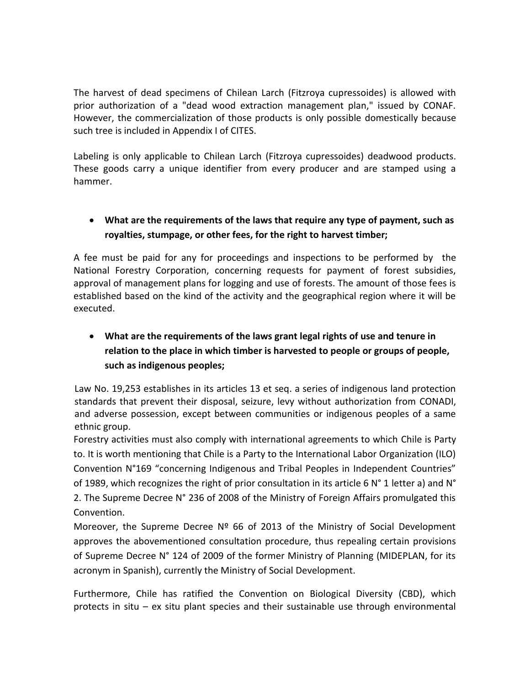The harvest of dead specimens of Chilean Larch (Fitzroya cupressoides) is allowed with prior authorization of a "dead wood extraction management plan," issued by CONAF. However, the commercialization of those products is only possible domestically because such tree is included in Appendix I of CITES.

Labeling is only applicable to Chilean Larch (Fitzroya cupressoides) deadwood products. These goods carry a unique identifier from every producer and are stamped using a hammer.

## **What are the requirements of the laws that require any type of payment, such as royalties, stumpage, or other fees, for the right to harvest timber;**

A fee must be paid for any for proceedings and inspections to be performed by the National Forestry Corporation, concerning requests for payment of forest subsidies, approval of management plans for logging and use of forests. The amount of those fees is established based on the kind of the activity and the geographical region where it will be executed.

# **What are the requirements of the laws grant legal rights of use and tenure in relation to the place in which timber is harvested to people or groups of people, such as indigenous peoples;**

Law No. 19,253 establishes in its articles 13 et seq. a series of indigenous land protection standards that prevent their disposal, seizure, levy without authorization from CONADI, and adverse possession, except between communities or indigenous peoples of a same ethnic group.

Forestry activities must also comply with international agreements to which Chile is Party to. It is worth mentioning that Chile is a Party to the International Labor Organization (ILO) Convention N°169 "concerning Indigenous and Tribal Peoples in Independent Countries" of 1989, which recognizes the right of prior consultation in its article 6 N° 1 letter a) and N° 2. The Supreme Decree N° 236 of 2008 of the Ministry of Foreign Affairs promulgated this Convention.

Moreover, the Supreme Decree  $N^{\circ}$  66 of 2013 of the Ministry of Social Development approves the abovementioned consultation procedure, thus repealing certain provisions of Supreme Decree N° 124 of 2009 of the former Ministry of Planning (MIDEPLAN, for its acronym in Spanish), currently the Ministry of Social Development.

Furthermore, Chile has ratified the Convention on Biological Diversity (CBD), which protects in situ – ex situ plant species and their sustainable use through environmental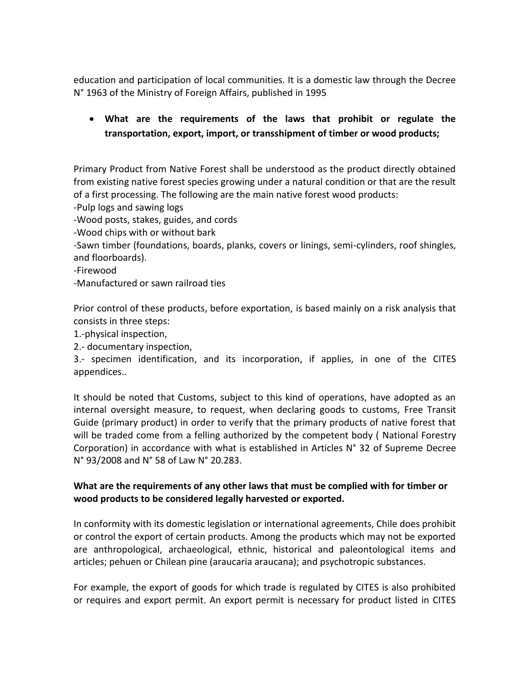education and participation of local communities. It is a domestic law through the Decree N° 1963 of the Ministry of Foreign Affairs, published in 1995

## **What are the requirements of the laws that prohibit or regulate the transportation, export, import, or transshipment of timber or wood products;**

Primary Product from Native Forest shall be understood as the product directly obtained from existing native forest species growing under a natural condition or that are the result of a first processing. The following are the main native forest wood products:

-Pulp logs and sawing logs

-Wood posts, stakes, guides, and cords

-Wood chips with or without bark

-Sawn timber (foundations, boards, planks, covers or linings, semi-cylinders, roof shingles, and floorboards).

-Firewood

-Manufactured or sawn railroad ties

Prior control of these products, before exportation, is based mainly on a risk analysis that consists in three steps:

1.-physical inspection,

2.- documentary inspection,

3.- specimen identification, and its incorporation, if applies, in one of the CITES appendices..

It should be noted that Customs, subject to this kind of operations, have adopted as an internal oversight measure, to request, when declaring goods to customs, Free Transit Guide (primary product) in order to verify that the primary products of native forest that will be traded come from a felling authorized by the competent body ( National Forestry Corporation) in accordance with what is established in Articles N° 32 of Supreme Decree N° 93/2008 and N° 58 of Law N° 20.283.

### **What are the requirements of any other laws that must be complied with for timber or wood products to be considered legally harvested or exported.**

In conformity with its domestic legislation or international agreements, Chile does prohibit or control the export of certain products. Among the products which may not be exported are anthropological, archaeological, ethnic, historical and paleontological items and articles; pehuen or Chilean pine (araucaria araucana); and psychotropic substances.

For example, the export of goods for which trade is regulated by CITES is also prohibited or requires and export permit. An export permit is necessary for product listed in CITES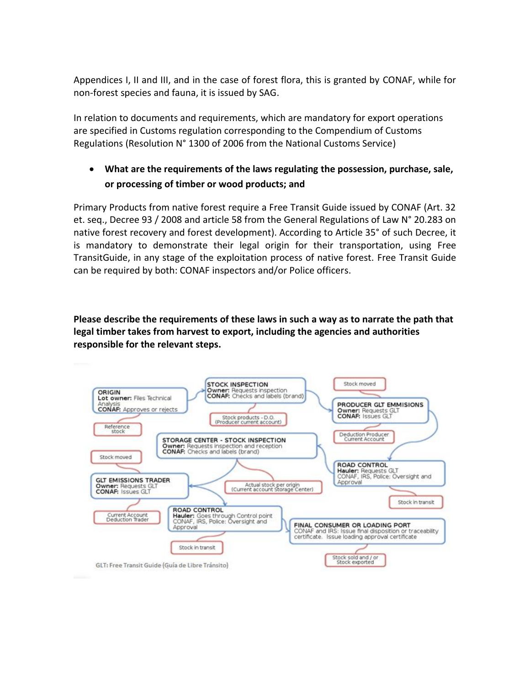Appendices I, II and III, and in the case of forest flora, this is granted by CONAF, while for non-forest species and fauna, it is issued by SAG.

In relation to documents and requirements, which are mandatory for export operations are specified in Customs regulation corresponding to the Compendium of Customs Regulations (Resolution N° 1300 of 2006 from the National Customs Service)

## **What are the requirements of the laws regulating the possession, purchase, sale, or processing of timber or wood products; and**

Primary Products from native forest require a Free Transit Guide issued by CONAF (Art. 32 et. seq., Decree 93 / 2008 and article 58 from the General Regulations of Law N° 20.283 on native forest recovery and forest development). According to Article 35° of such Decree, it is mandatory to demonstrate their legal origin for their transportation, using Free TransitGuide, in any stage of the exploitation process of native forest. Free Transit Guide can be required by both: CONAF inspectors and/or Police officers.

**Please describe the requirements of these laws in such a way as to narrate the path that legal timber takes from harvest to export, including the agencies and authorities responsible for the relevant steps.**

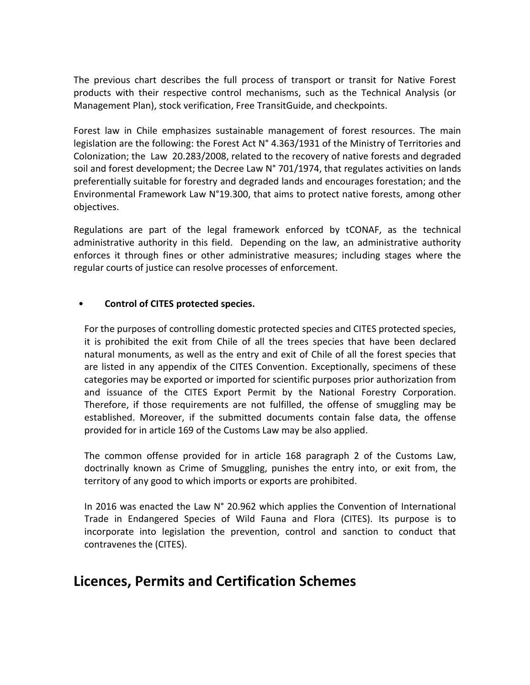The previous chart describes the full process of transport or transit for Native Forest products with their respective control mechanisms, such as the Technical Analysis (or Management Plan), stock verification, Free TransitGuide, and checkpoints.

Forest law in Chile emphasizes sustainable management of forest resources. The main legislation are the following: the Forest Act N° 4.363/1931 of the Ministry of Territories and Colonization; the Law 20.283/2008, related to the recovery of native forests and degraded soil and forest development; the Decree Law N° 701/1974, that regulates activities on lands preferentially suitable for forestry and degraded lands and encourages forestation; and the Environmental Framework Law N°19.300, that aims to protect native forests, among other objectives.

Regulations are part of the legal framework enforced by tCONAF, as the technical administrative authority in this field. Depending on the law, an administrative authority enforces it through fines or other administrative measures; including stages where the regular courts of justice can resolve processes of enforcement.

#### • **Control of CITES protected species.**

For the purposes of controlling domestic protected species and CITES protected species, it is prohibited the exit from Chile of all the trees species that have been declared natural monuments, as well as the entry and exit of Chile of all the forest species that are listed in any appendix of the CITES Convention. Exceptionally, specimens of these categories may be exported or imported for scientific purposes prior authorization from and issuance of the CITES Export Permit by the National Forestry Corporation. Therefore, if those requirements are not fulfilled, the offense of smuggling may be established. Moreover, if the submitted documents contain false data, the offense provided for in article 169 of the Customs Law may be also applied.

The common offense provided for in article 168 paragraph 2 of the Customs Law, doctrinally known as Crime of Smuggling, punishes the entry into, or exit from, the territory of any good to which imports or exports are prohibited.

In 2016 was enacted the Law N° 20.962 which applies the Convention of International Trade in Endangered Species of Wild Fauna and Flora (CITES). Its purpose is to incorporate into legislation the prevention, control and sanction to conduct that contravenes the (CITES).

# **Licences, Permits and Certification Schemes**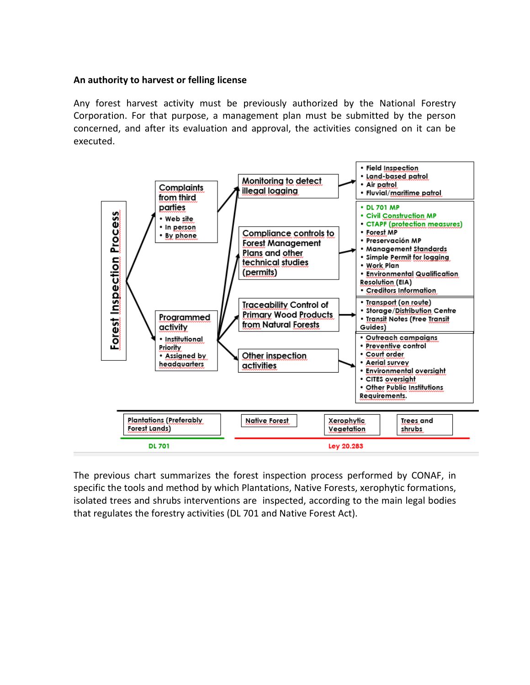#### **An authority to harvest or felling license**

Any forest harvest activity must be previously authorized by the National Forestry Corporation. For that purpose, a management plan must be submitted by the person concerned, and after its evaluation and approval, the activities consigned on it can be executed.



The previous chart summarizes the forest inspection process performed by CONAF, in specific the tools and method by which Plantations, Native Forests, xerophytic formations, isolated trees and shrubs interventions are inspected, according to the main legal bodies that regulates the forestry activities (DL 701 and Native Forest Act).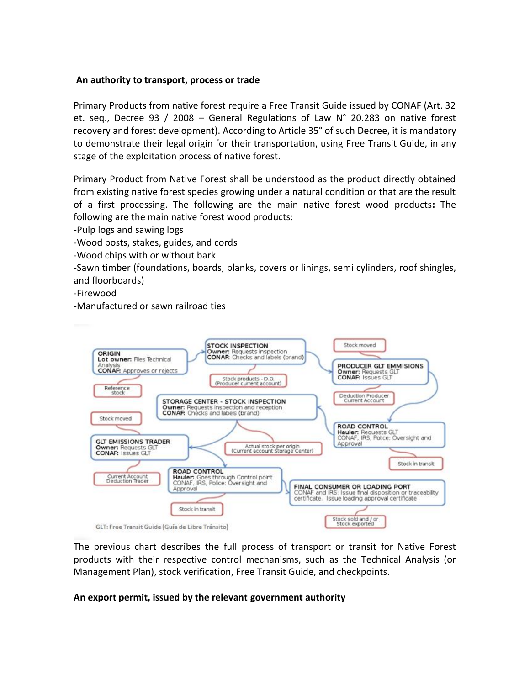#### **An authority to transport, process or trade**

Primary Products from native forest require a Free Transit Guide issued by CONAF (Art. 32 et. seq., Decree 93 / 2008 – General Regulations of Law N° 20.283 on native forest recovery and forest development). According to Article 35° of such Decree, it is mandatory to demonstrate their legal origin for their transportation, using Free Transit Guide, in any stage of the exploitation process of native forest.

Primary Product from Native Forest shall be understood as the product directly obtained from existing native forest species growing under a natural condition or that are the result of a first processing. The following are the main native forest wood products**:** The following are the main native forest wood products:

-Pulp logs and sawing logs

-Wood posts, stakes, guides, and cords

-Wood chips with or without bark

-Sawn timber (foundations, boards, planks, covers or linings, semi cylinders, roof shingles, and floorboards)

-Firewood

-Manufactured or sawn railroad ties



The previous chart describes the full process of transport or transit for Native Forest products with their respective control mechanisms, such as the Technical Analysis (or Management Plan), stock verification, Free Transit Guide, and checkpoints.

#### **An export permit, issued by the relevant government authority**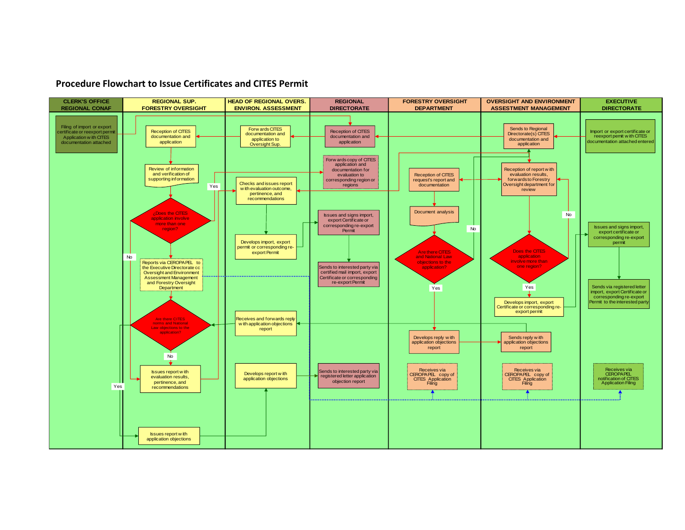#### **Procedure Flowchart to Issue Certificates and CITES Permit**

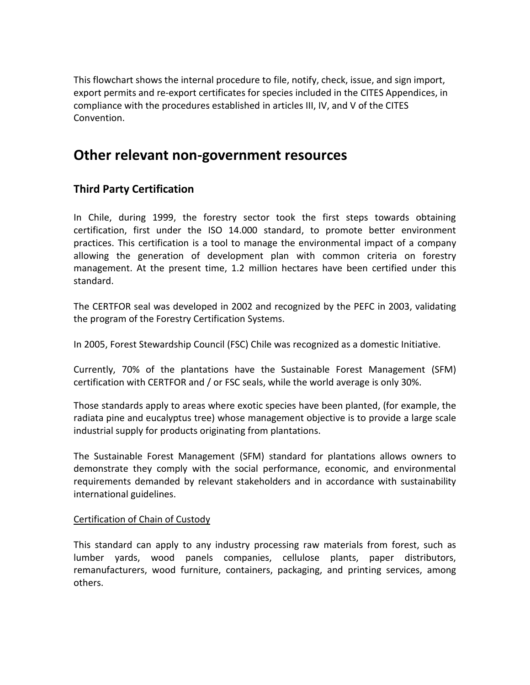This flowchart shows the internal procedure to file, notify, check, issue, and sign import, export permits and re-export certificates for species included in the CITES Appendices, in compliance with the procedures established in articles III, IV, and V of the CITES Convention.

# **Other relevant non-government resources**

## **Third Party Certification**

In Chile, during 1999, the forestry sector took the first steps towards obtaining certification, first under the ISO 14.000 standard, to promote better environment practices. This certification is a tool to manage the environmental impact of a company allowing the generation of development plan with common criteria on forestry management. At the present time, 1.2 million hectares have been certified under this standard.

The CERTFOR seal was developed in 2002 and recognized by the PEFC in 2003, validating the program of the Forestry Certification Systems.

In 2005, Forest Stewardship Council (FSC) Chile was recognized as a domestic Initiative.

Currently, 70% of the plantations have the Sustainable Forest Management (SFM) certification with CERTFOR and / or FSC seals, while the world average is only 30%.

Those standards apply to areas where exotic species have been planted, (for example, the radiata pine and eucalyptus tree) whose management objective is to provide a large scale industrial supply for products originating from plantations.

The Sustainable Forest Management (SFM) standard for plantations allows owners to demonstrate they comply with the social performance, economic, and environmental requirements demanded by relevant stakeholders and in accordance with sustainability international guidelines.

### Certification of Chain of Custody

This standard can apply to any industry processing raw materials from forest, such as lumber yards, wood panels companies, cellulose plants, paper distributors, remanufacturers, wood furniture, containers, packaging, and printing services, among others.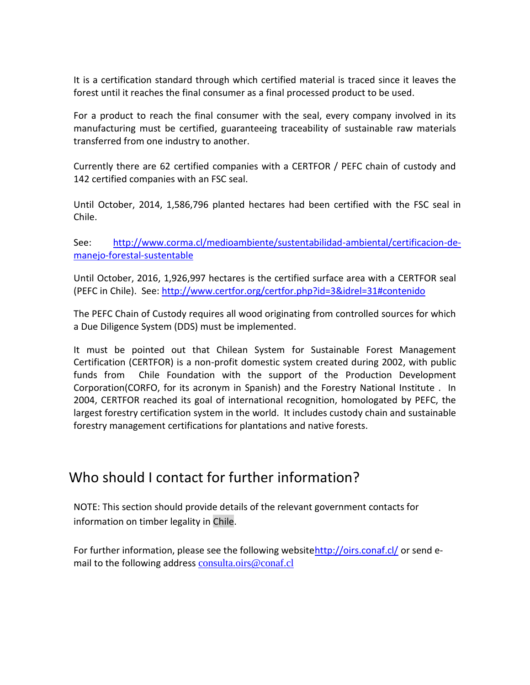It is a certification standard through which certified material is traced since it leaves the forest until it reaches the final consumer as a final processed product to be used.

For a product to reach the final consumer with the seal, every company involved in its manufacturing must be certified, guaranteeing traceability of sustainable raw materials transferred from one industry to another.

Currently there are 62 certified companies with a CERTFOR / PEFC chain of custody and 142 certified companies with an FSC seal.

Until October, 2014, 1,586,796 planted hectares had been certified with the FSC seal in Chile.

See: [http://www.corma.cl/medioambiente/sustentabilidad-ambiental/certificacion-de](http://www.corma.cl/medioambiente/sustentabilidad-ambiental/certificacion-de-manejo-forestal-sustentable)[manejo-forestal-sustentable](http://www.corma.cl/medioambiente/sustentabilidad-ambiental/certificacion-de-manejo-forestal-sustentable)

Until October, 2016, 1,926,997 hectares is the certified surface area with a CERTFOR seal (PEFC in Chile). See:<http://www.certfor.org/certfor.php?id=3&idrel=31#contenido>

The PEFC Chain of Custody requires all wood originating from controlled sources for which a Due Diligence System (DDS) must be implemented.

It must be pointed out that Chilean System for Sustainable Forest Management Certification (CERTFOR) is a non-profit domestic system created during 2002, with public funds from Chile Foundation with the support of the Production Development Corporation(CORFO, for its acronym in Spanish) and the Forestry National Institute . In 2004, CERTFOR reached its goal of international recognition, homologated by PEFC, the largest forestry certification system in the world. It includes custody chain and sustainable forestry management certifications for plantations and native forests.

# Who should I contact for further information?

NOTE: This section should provide details of the relevant government contacts for information on timber legality in Chile.

For further information, please see the following websit[ehttp://oirs.conaf.cl/](http://oirs.conaf.cl/) or send email to the following address [consulta.oirs@conaf.cl](mailto:consulta.oirs@conaf.cl)